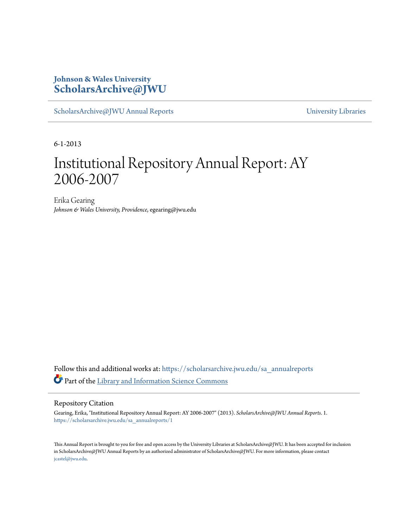### **Johnson & Wales University [ScholarsArchive@JWU](https://scholarsarchive.jwu.edu?utm_source=scholarsarchive.jwu.edu%2Fsa_annualreports%2F1&utm_medium=PDF&utm_campaign=PDFCoverPages)**

[ScholarsArchive@JWU Annual Reports](https://scholarsarchive.jwu.edu/sa_annualreports?utm_source=scholarsarchive.jwu.edu%2Fsa_annualreports%2F1&utm_medium=PDF&utm_campaign=PDFCoverPages) **Example 2018** [University Libraries](https://scholarsarchive.jwu.edu/University_Libraries?utm_source=scholarsarchive.jwu.edu%2Fsa_annualreports%2F1&utm_medium=PDF&utm_campaign=PDFCoverPages)

6-1-2013

## Institutional Repository Annual Report: AY 2006-2007

Erika Gearing *Johnson & Wales University, Providence*, egearing@jwu.edu

Follow this and additional works at: [https://scholarsarchive.jwu.edu/sa\\_annualreports](https://scholarsarchive.jwu.edu/sa_annualreports?utm_source=scholarsarchive.jwu.edu%2Fsa_annualreports%2F1&utm_medium=PDF&utm_campaign=PDFCoverPages) Part of the [Library and Information Science Commons](http://network.bepress.com/hgg/discipline/1018?utm_source=scholarsarchive.jwu.edu%2Fsa_annualreports%2F1&utm_medium=PDF&utm_campaign=PDFCoverPages)

#### Repository Citation

Gearing, Erika, "Institutional Repository Annual Report: AY 2006-2007" (2013). *ScholarsArchive@JWU Annual Reports*. 1. [https://scholarsarchive.jwu.edu/sa\\_annualreports/1](https://scholarsarchive.jwu.edu/sa_annualreports/1?utm_source=scholarsarchive.jwu.edu%2Fsa_annualreports%2F1&utm_medium=PDF&utm_campaign=PDFCoverPages)

This Annual Report is brought to you for free and open access by the University Libraries at ScholarsArchive@JWU. It has been accepted for inclusion in ScholarsArchive@JWU Annual Reports by an authorized administrator of ScholarsArchive@JWU. For more information, please contact [jcastel@jwu.edu.](mailto:jcastel@jwu.edu)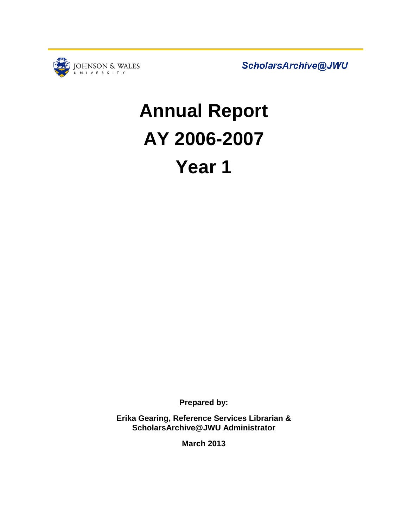

ScholarsArchive@JWU

# **Annual Report AY 2006-2007 Year 1**

**Prepared by:**

**Erika Gearing, Reference Services Librarian & ScholarsArchive@JWU Administrator**

**March 2013**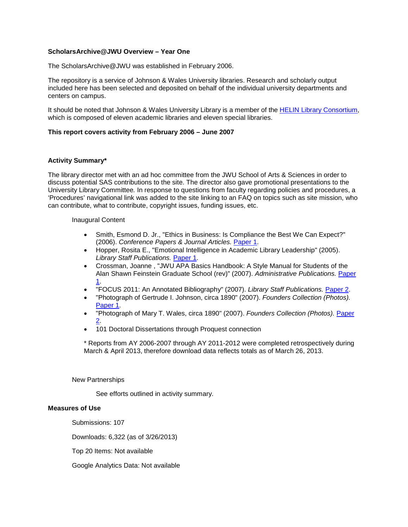#### **ScholarsArchive@JWU Overview – Year One**

The ScholarsArchive@JWU was established in February 2006.

The repository is a service of Johnson & Wales University libraries. Research and scholarly output included here has been selected and deposited on behalf of the individual university departments and centers on campus.

It should be noted that Johnson & Wales University Library is a member of the [HELIN Library Consortium,](http://www.helininc.org/General/about-helin.html) which is composed of eleven academic libraries and eleven special libraries.

#### **This report covers activity from February 2006 – June 2007**

#### **Activity Summary\***

The library director met with an ad hoc committee from the JWU School of Arts & Sciences in order to discuss potential SAS contributions to the site. The director also gave promotional presentations to the University Library Committee*.* In response to questions from faculty regarding policies and procedures, a 'Procedures' navigational link was added to the site linking to an FAQ on topics such as site mission, who can contribute, what to contribute, copyright issues, funding issues, etc.

#### Inaugural Content

- Smith, Esmond D. Jr., "Ethics in Business: Is Compliance the Best We Can Expect?" (2006). *Conference Papers & Journal Articles.* [Paper 1.](http://scholarsarchive.jwu.edu/grad_conf/1)
- Hopper, Rosita E., "Emotional Intelligence in Academic Library Leadership" (2005). *Library Staff Publications.* [Paper 1.](http://scholarsarchive.jwu.edu/staff_pub/1)
- Crossman, Joanne , "JWU APA Basics Handbook: A Style Manual for Students of the Alan Shawn Feinstein Graduate School (rev)" (2007). *Administrative Publications.* [Paper](http://scholarsarchive.jwu.edu/grad_adm/1)  [1.](http://scholarsarchive.jwu.edu/grad_adm/1)
- "FOCUS 2011: An Annotated Bibliography" (2007). *Library Staff Publications.* [Paper 2.](http://scholarsarchive.jwu.edu/staff_pub/2)
- "Photograph of Gertrude I. Johnson, circa 1890" (2007). *Founders Collection (Photos).* [Paper 1.](http://scholarsarchive.jwu.edu/founders_photos/1)
- "Photograph of Mary T. Wales, circa 1890" (2007). *Founders Collection (Photos).* [Paper](http://scholarsarchive.jwu.edu/founders_photos/2)  [2.](http://scholarsarchive.jwu.edu/founders_photos/2)
- 101 Doctoral Dissertations through Proquest connection

\* Reports from AY 2006-2007 through AY 2011-2012 were completed retrospectively during March & April 2013, therefore download data reflects totals as of March 26, 2013.

New Partnerships

See efforts outlined in activity summary.

#### **Measures of Use**

Submissions: 107

Downloads: 6,322 (as of 3/26/2013)

Top 20 Items: Not available

Google Analytics Data: Not available